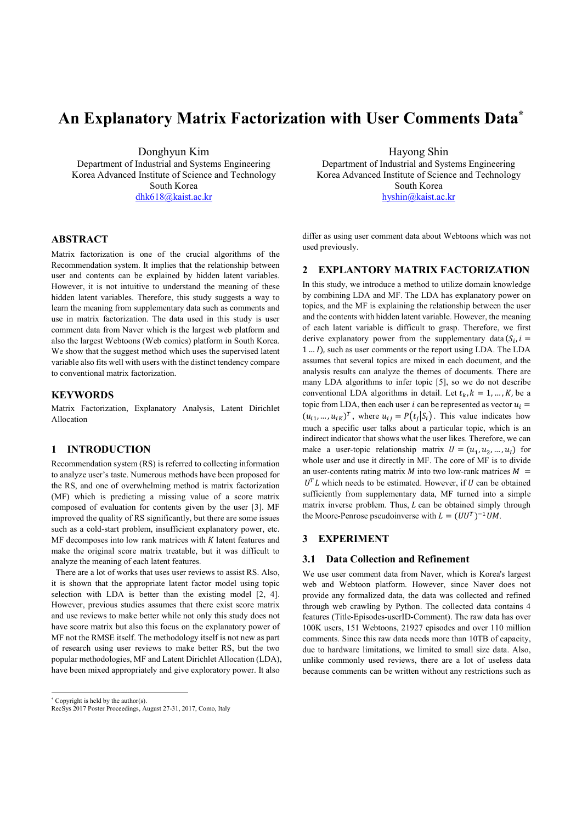# An Explanatory Matrix Factorization with User Comments Data\*

Donghyun Kim Department of Industrial and Systems Engineering Korea Advanced Institute of Science and Technology South Korea dhk618@kaist.ac.kr

# ABSTRACT

Matrix factorization is one of the crucial algorithms of the Recommendation system. It implies that the relationship between user and contents can be explained by hidden latent variables. However, it is not intuitive to understand the meaning of these hidden latent variables. Therefore, this study suggests a way to learn the meaning from supplementary data such as comments and use in matrix factorization. The data used in this study is user comment data from Naver which is the largest web platform and also the largest Webtoons (Web comics) platform in South Korea. We show that the suggest method which uses the supervised latent variable also fits well with users with the distinct tendency compare to conventional matrix factorization.

## **KEYWORDS**

Matrix Factorization, Explanatory Analysis, Latent Dirichlet Allocation

# 1 INTRODUCTION

Recommendation system (RS) is referred to collecting information to analyze user's taste. Numerous methods have been proposed for the RS, and one of overwhelming method is matrix factorization (MF) which is predicting a missing value of a score matrix composed of evaluation for contents given by the user [3]. MF improved the quality of RS significantly, but there are some issues such as a cold-start problem, insufficient explanatory power, etc.  $MF$  decomposes into low rank matrices with  $K$  latent features and make the original score matrix treatable, but it was difficult to analyze the meaning of each latent features.

There are a lot of works that uses user reviews to assist RS. Also, it is shown that the appropriate latent factor model using topic selection with LDA is better than the existing model [2, 4]. However, previous studies assumes that there exist score matrix and use reviews to make better while not only this study does not have score matrix but also this focus on the explanatory power of MF not the RMSE itself. The methodology itself is not new as part of research using user reviews to make better RS, but the two popular methodologies, MF and Latent Dirichlet Allocation (LDA), have been mixed appropriately and give exploratory power. It also

\* Copyright is held by the author(s).

l

Hayong Shin Department of Industrial and Systems Engineering Korea Advanced Institute of Science and Technology South Korea

hyshin@kaist.ac.kr

differ as using user comment data about Webtoons which was not used previously.

## 2 EXPLANTORY MATRIX FACTORIZATION

In this study, we introduce a method to utilize domain knowledge by combining LDA and MF. The LDA has explanatory power on topics, and the MF is explaining the relationship between the user and the contents with hidden latent variable. However, the meaning of each latent variable is difficult to grasp. Therefore, we first derive explanatory power from the supplementary data  $(S_i, i =$  $1 \ldots I$ , such as user comments or the report using LDA. The LDA assumes that several topics are mixed in each document, and the analysis results can analyze the themes of documents. There are many LDA algorithms to infer topic [5], so we do not describe conventional LDA algorithms in detail. Let  $t_k$ ,  $k = 1, ..., K$ , be a topic from LDA, then each user *i* can be represented as vector  $u_i =$  $(u_{i1}, ..., u_{iK})^T$ , where  $u_{ij} = P(t_j | S_i)$ . This value indicates how much a specific user talks about a particular topic, which is an indirect indicator that shows what the user likes. Therefore, we can make a user-topic relationship matrix  $U = (u_1, u_2, ..., u_t)$  for whole user and use it directly in MF. The core of MF is to divide an user-contents rating matrix  $M$  into two low-rank matrices  $M =$  $U<sup>T</sup>L$  which needs to be estimated. However, if U can be obtained sufficiently from supplementary data, MF turned into a simple matrix inverse problem. Thus,  $L$  can be obtained simply through the Moore-Penrose pseudoinverse with  $L = (UU^T)^{-1}UM$ .

## 3 EXPERIMENT

#### 3.1 Data Collection and Refinement

We use user comment data from Naver, which is Korea's largest web and Webtoon platform. However, since Naver does not provide any formalized data, the data was collected and refined through web crawling by Python. The collected data contains 4 features (Title-Episodes-userID-Comment). The raw data has over 100K users, 151 Webtoons, 21927 episodes and over 110 million comments. Since this raw data needs more than 10TB of capacity, due to hardware limitations, we limited to small size data. Also, unlike commonly used reviews, there are a lot of useless data because comments can be written without any restrictions such as

RecSys 2017 Poster Proceedings, August 27-31, 2017, Como, Italy